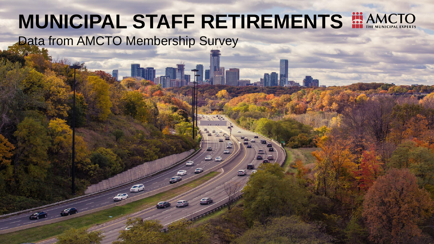# **MUNICIPAL STAFF RETIREMENTS EXAMCTO** Data from AMCTO Membership Survey

 $\sqrt{2}$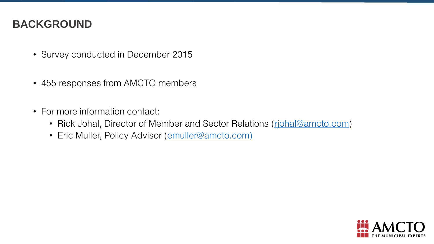#### BACKGROUND

- Survey conducted in December 2015
- 455 responses from AMCTO members
- For more information contact:
	- Rick Johal, Director of Member and Sector Relations (richal@amcto.com)
	- Eric Muller, Policy Advisor ([emuller@amcto.com\)](mailto:emuller@amcto.com))

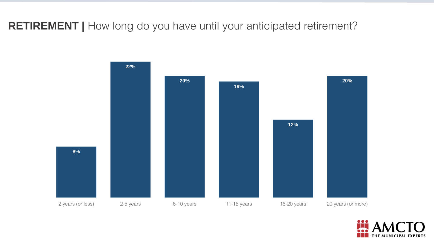RETIREMENT | How long do you have until your anticipated retirement?



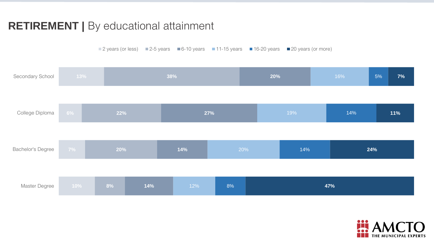### RETIREMENT | By educational attainment

■ 2 years (or less) ■ 2-5 years ■ 6-10 years ■ 11-15 years ■ 16-20 years ■ 20 years (or more)



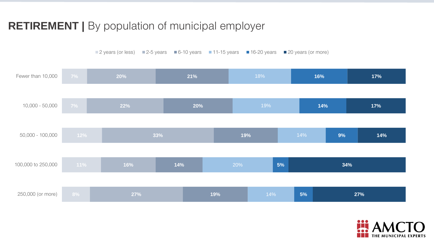### RETIREMENT | By population of municipal employer



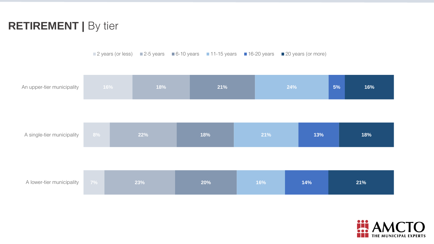### RETIREMENT | By tier

■ 2 years (or less) ■ 2-5 years ■ 6-10 years ■ 11-15 years ■ 16-20 years ■ 20 years (or more)

| An upper-tier municipality | 16% |  | 18% |  | 21% |  | 24% |  |     | 5% | 16% |
|----------------------------|-----|--|-----|--|-----|--|-----|--|-----|----|-----|
| A single-tier municipality | 8%  |  | 22% |  | 18% |  | 21% |  | 13% |    | 18% |
|                            |     |  |     |  |     |  |     |  |     |    |     |
| A lower-tier municipality  | 7%  |  | 23% |  | 20% |  | 16% |  | 14% |    | 21% |

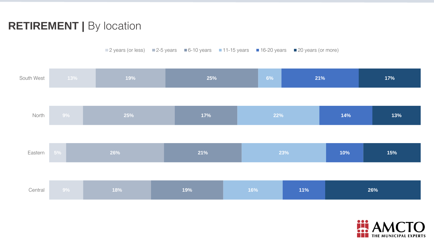### RETIREMENT | By location

■ 2 years (or less) ■ 2-5 years ■ 6-10 years ■ 11-15 years ■ 16-20 years ■ 20 years (or more)

| South West | 13%          | 19% |  | 25% |  | 6%<br>21%  |  |     | 17% |  |
|------------|--------------|-----|--|-----|--|------------|--|-----|-----|--|
|            |              |     |  |     |  |            |  |     |     |  |
| North      | $9\%$        | 25% |  | 17% |  | 22%        |  | 14% | 13% |  |
|            |              |     |  |     |  |            |  |     |     |  |
| Eastern    | 5%           | 26% |  | 21% |  | 23%        |  | 10% | 15% |  |
|            |              |     |  |     |  |            |  |     |     |  |
| Central    | $9\%$<br>18% |     |  | 19% |  | 11%<br>16% |  | 26% |     |  |

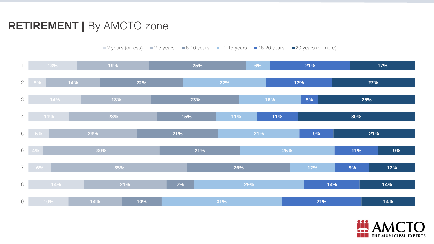# RETIREMENT | By AMCTO zone

14% 35% 30% 23% 23% 18% 14% 19% 10% 7% 26% 21% 21% 15% 23% 22% 25% 29% 25% 22% 21% 14% 9% 11% 9% 11% 5% 17% 21% 14% 14% 12% 9% 21% 30% 25% 22% 17% 9 8 7 6 5 4 3 2 1 ■ 2 years (or less) ■ 2-5 years ■ 6-10 years ■ 11-15 years ■ 16-20 years ■ 20 years (or more)

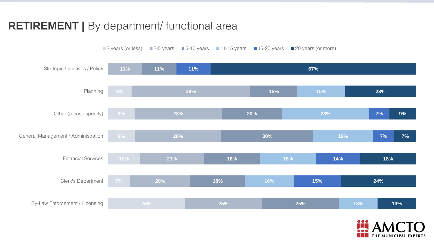### RETIREMENT | By department/ functional area